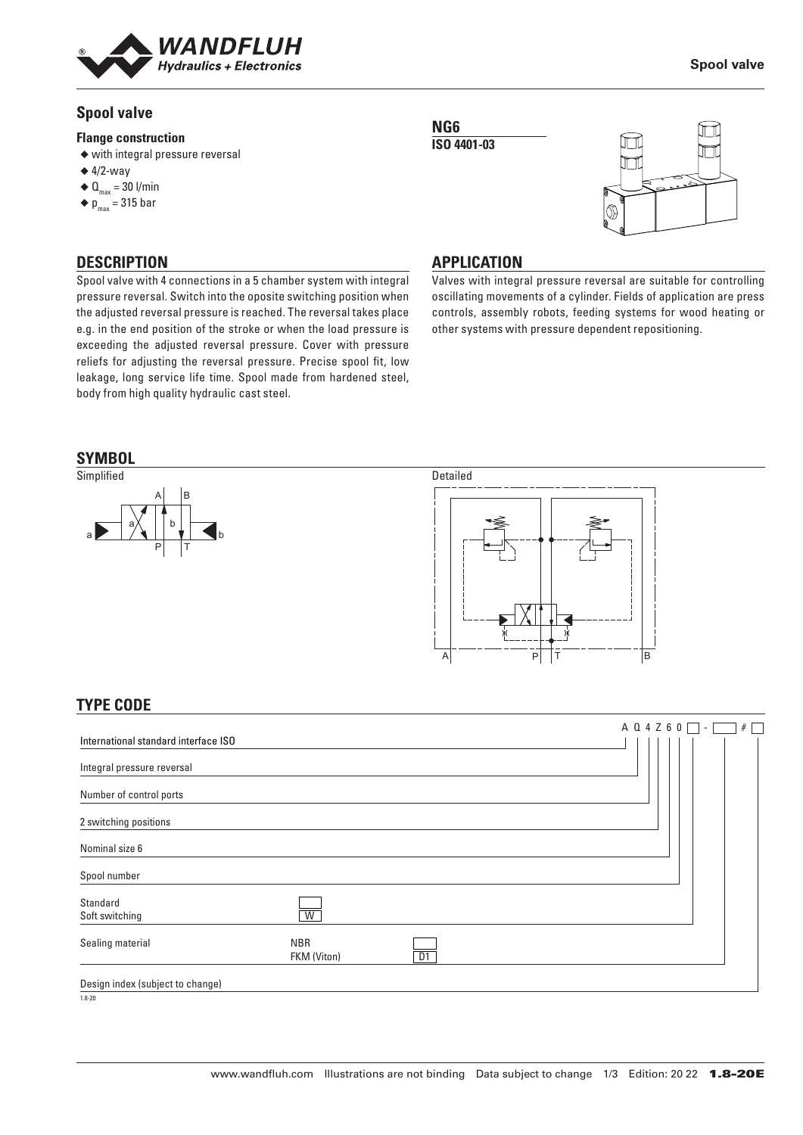

## **Spool valve**

#### **Flange construction**

- ◆ with integral pressure reversal
- $\triangleq$  4/2-way
- $\triangleleft \mathbf{Q}_{\text{max}} = 30$  l/min
- $\blacklozenge$  p<sub>max</sub> = 315 bar

**DESCRIPTION**

╥

**Spool valve**

#### **APPLICATION**

**NG6 ISO 4401-03**

Valves with integral pressure reversal are suitable for controlling oscillating movements of a cylinder. Fields of application are press controls, assembly robots, feeding systems for wood heating or other systems with pressure dependent repositioning.

the adjusted reversal pressure is reached. The reversal takes place e.g. in the end position of the stroke or when the load pressure is exceeding the adjusted reversal pressure. Cover with pressure reliefs for adjusting the reversal pressure. Precise spool fit, low leakage, long service life time. Spool made from hardened steel, body from high quality hydraulic cast steel.

Spool valve with 4 connections in a 5 chamber system with integral pressure reversal. Switch into the oposite switching position when

#### **SYMBOL**





# **TYPE CODE**

|                                      |                           |    |  |  |  | A Q 4 Z 6 0 | $\sim$ | # |
|--------------------------------------|---------------------------|----|--|--|--|-------------|--------|---|
| International standard interface ISO |                           |    |  |  |  |             |        |   |
| Integral pressure reversal           |                           |    |  |  |  |             |        |   |
| Number of control ports              |                           |    |  |  |  |             |        |   |
| 2 switching positions                |                           |    |  |  |  |             |        |   |
| Nominal size 6                       |                           |    |  |  |  |             |        |   |
| Spool number                         |                           |    |  |  |  |             |        |   |
| Standard<br>Soft switching           | W                         |    |  |  |  |             |        |   |
| Sealing material                     | <b>NBR</b><br>FKM (Viton) | D1 |  |  |  |             |        |   |
| Design index (subject to change)     |                           |    |  |  |  |             |        |   |
| $1.8 - 20$                           |                           |    |  |  |  |             |        |   |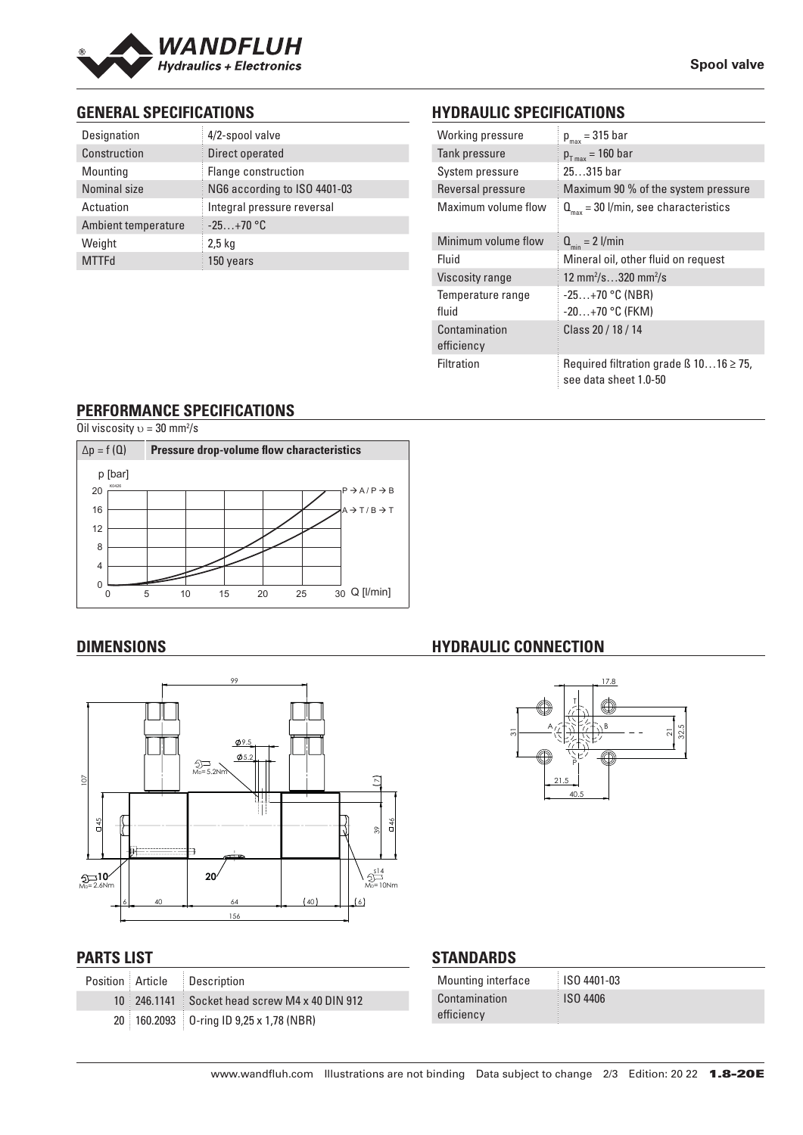

## **GENERAL SPECIFICATIONS**

| Designation         | 4/2-spool valve              |
|---------------------|------------------------------|
| Construction        | Direct operated              |
| Mounting            | Flange construction          |
| Nominal size        | NG6 according to ISO 4401-03 |
| Actuation           | Integral pressure reversal   |
| Ambient temperature | $-25+70$ °C                  |
| Weight              | $2,5$ kg                     |
| <b>MTTFd</b>        | 150 years                    |

# **HYDRAULIC SPECIFICATIONS**

| Working pressure            | $p_{max}$ = 315 bar                                                        |  |  |  |  |  |
|-----------------------------|----------------------------------------------------------------------------|--|--|--|--|--|
| Tank pressure               | $p_{T_{max}}$ = 160 bar                                                    |  |  |  |  |  |
| System pressure             | $25315$ bar                                                                |  |  |  |  |  |
| Reversal pressure           | Maximum 90 % of the system pressure                                        |  |  |  |  |  |
| Maximum volume flow         | $Q_{\text{max}}$ = 30 l/min, see characteristics                           |  |  |  |  |  |
| Minimum volume flow         | $Q_{\min} = 2$ l/min                                                       |  |  |  |  |  |
| Fluid                       | Mineral oil, other fluid on request                                        |  |  |  |  |  |
| Viscosity range             | 12 mm <sup>2</sup> /s320 mm <sup>2</sup> /s                                |  |  |  |  |  |
| Temperature range           | $-25+70$ °C (NBR)                                                          |  |  |  |  |  |
| fluid                       | $-20+70$ °C (FKM)                                                          |  |  |  |  |  |
| Contamination<br>efficiency | Class 20 / 18 / 14                                                         |  |  |  |  |  |
| Filtration                  | Required filtration grade $\beta$ 1016 $\geq$ 75,<br>see data sheet 1.0-50 |  |  |  |  |  |

## **PERFORMANCE SPECIFICATIONS**

Oil viscosity  $v = 30$  mm<sup>2</sup>/s



# **DIMENSIONS**



#### **PARTS LIST**

|  | Position Article Description                  |
|--|-----------------------------------------------|
|  | 10 246.1141 Socket head screw M4 x 40 DIN 912 |
|  | 20 160.2093 0-ring ID 9,25 x 1,78 (NBR)       |

## **HYDRAULIC CONNECTION**



## **STANDARDS**

| Mounting interface | <b>ISO 4401-03</b> |
|--------------------|--------------------|
| Contamination      | <b>ISO 4406</b>    |
| efficiency         |                    |